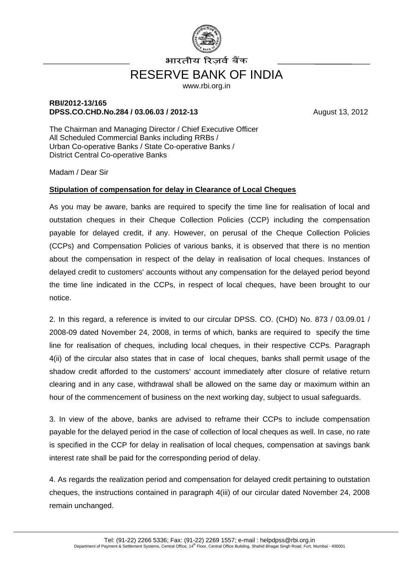

भारतीय रिजर्व बैंक

## RESERVE BANK OF INDIA

www.rbi.org.in

## **RBI/2012-13/165 DPSS.CO.CHD.No.284 / 03.06.03 / 2012-13** August 13, 2012

The Chairman and Managing Director / Chief Executive Officer All Scheduled Commercial Banks including RRBs / Urban Co-operative Banks / State Co-operative Banks / District Central Co-operative Banks

Madam / Dear Sir

## **Stipulation of compensation for delay in Clearance of Local Cheques**

As you may be aware, banks are required to specify the time line for realisation of local and outstation cheques in their Cheque Collection Policies (CCP) including the compensation payable for delayed credit, if any. However, on perusal of the Cheque Collection Policies (CCPs) and Compensation Policies of various banks, it is observed that there is no mention about the compensation in respect of the delay in realisation of local cheques. Instances of delayed credit to customers' accounts without any compensation for the delayed period beyond the time line indicated in the CCPs, in respect of local cheques, have been brought to our notice.

2. In this regard, a reference is invited to our circular DPSS. CO. (CHD) No. 873 / 03.09.01 / 2008-09 dated November 24, 2008, in terms of which, banks are required to specify the time line for realisation of cheques, including local cheques, in their respective CCPs. Paragraph 4(ii) of the circular also states that in case of local cheques, banks shall permit usage of the shadow credit afforded to the customers' account immediately after closure of relative return clearing and in any case, withdrawal shall be allowed on the same day or maximum within an hour of the commencement of business on the next working day, subject to usual safeguards.

3. In view of the above, banks are advised to reframe their CCPs to include compensation payable for the delayed period in the case of collection of local cheques as well. In case, no rate is specified in the CCP for delay in realisation of local cheques, compensation at savings bank interest rate shall be paid for the corresponding period of delay.

4. As regards the realization period and compensation for delayed credit pertaining to outstation cheques, the instructions contained in paragraph 4(iii) of our circular dated November 24, 2008 remain unchanged.